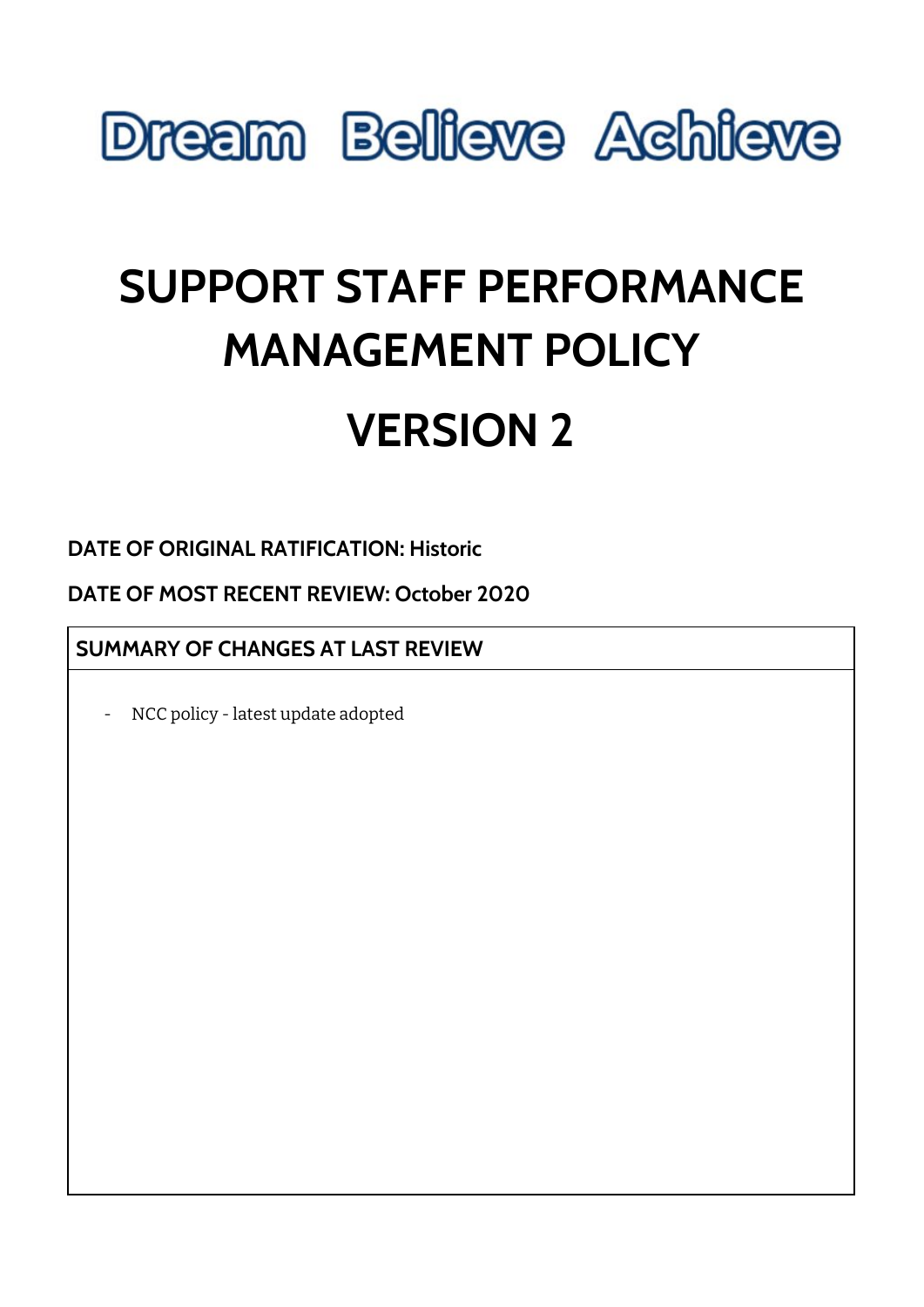

# **SUPPORT STAFF PERFORMANCE MANAGEMENT POLICY**

# **VERSION 2**

**DATE OF ORIGINAL RATIFICATION: Historic**

**DATE OF MOST RECENT REVIEW: October 2020**

**SUMMARY OF CHANGES AT LAST REVIEW**

NCC policy - latest update adopted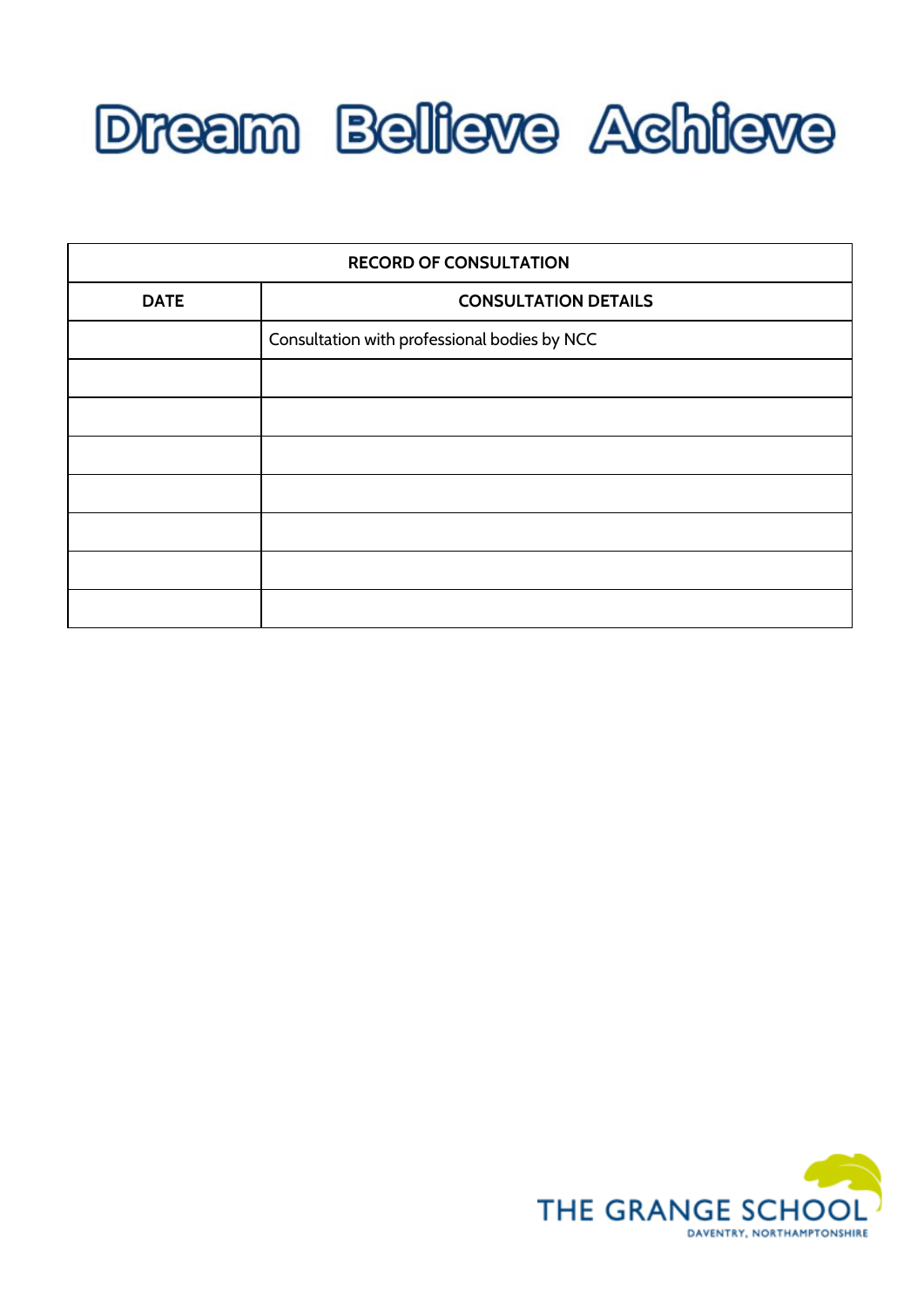

| <b>RECORD OF CONSULTATION</b> |                                              |  |
|-------------------------------|----------------------------------------------|--|
| <b>DATE</b>                   | <b>CONSULTATION DETAILS</b>                  |  |
|                               | Consultation with professional bodies by NCC |  |
|                               |                                              |  |
|                               |                                              |  |
|                               |                                              |  |
|                               |                                              |  |
|                               |                                              |  |
|                               |                                              |  |
|                               |                                              |  |

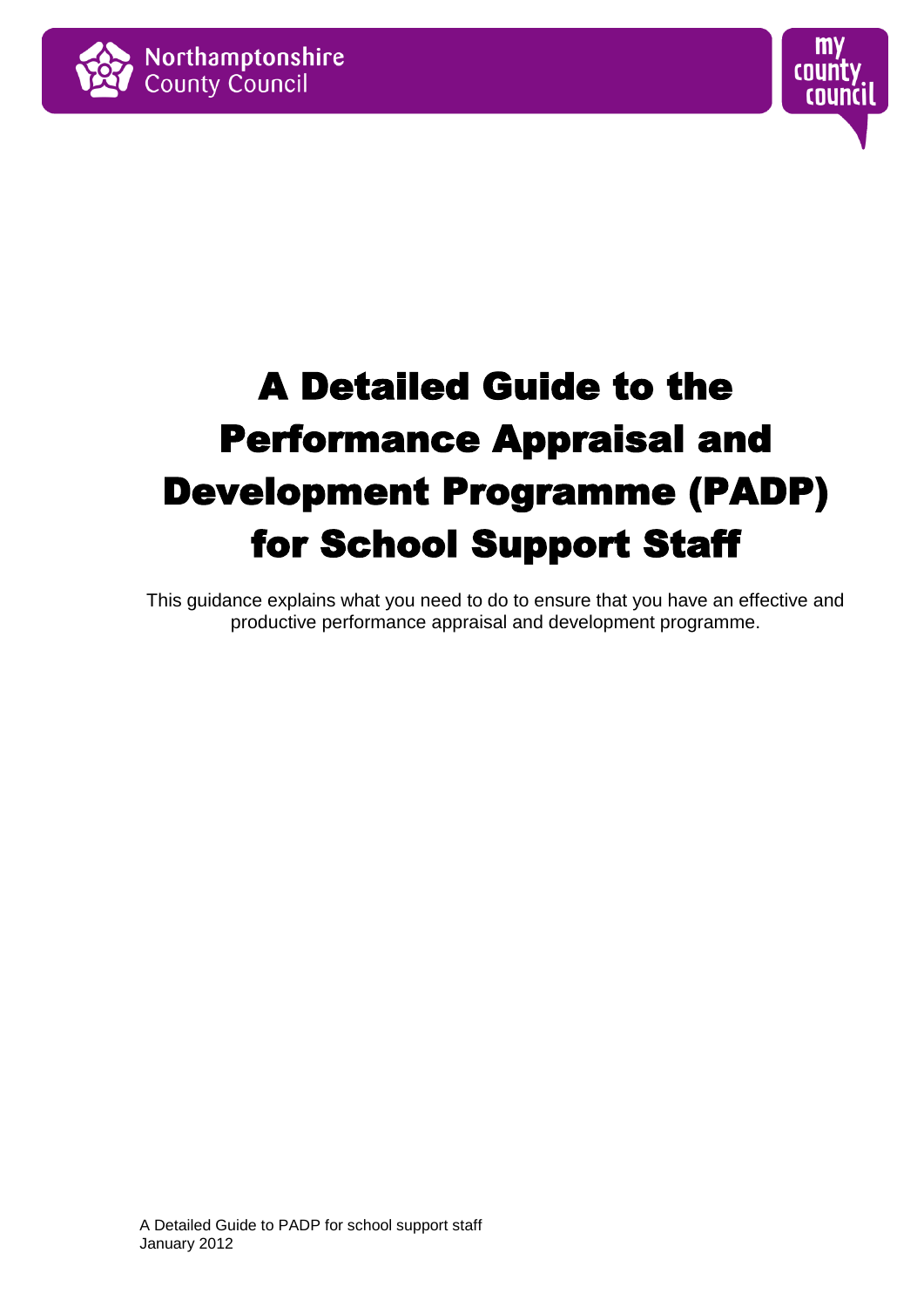



# A Detailed Guide to the Performance Appraisal and Development Programme (PADP) for School Support Staff

This guidance explains what you need to do to ensure that you have an effective and productive performance appraisal and development programme.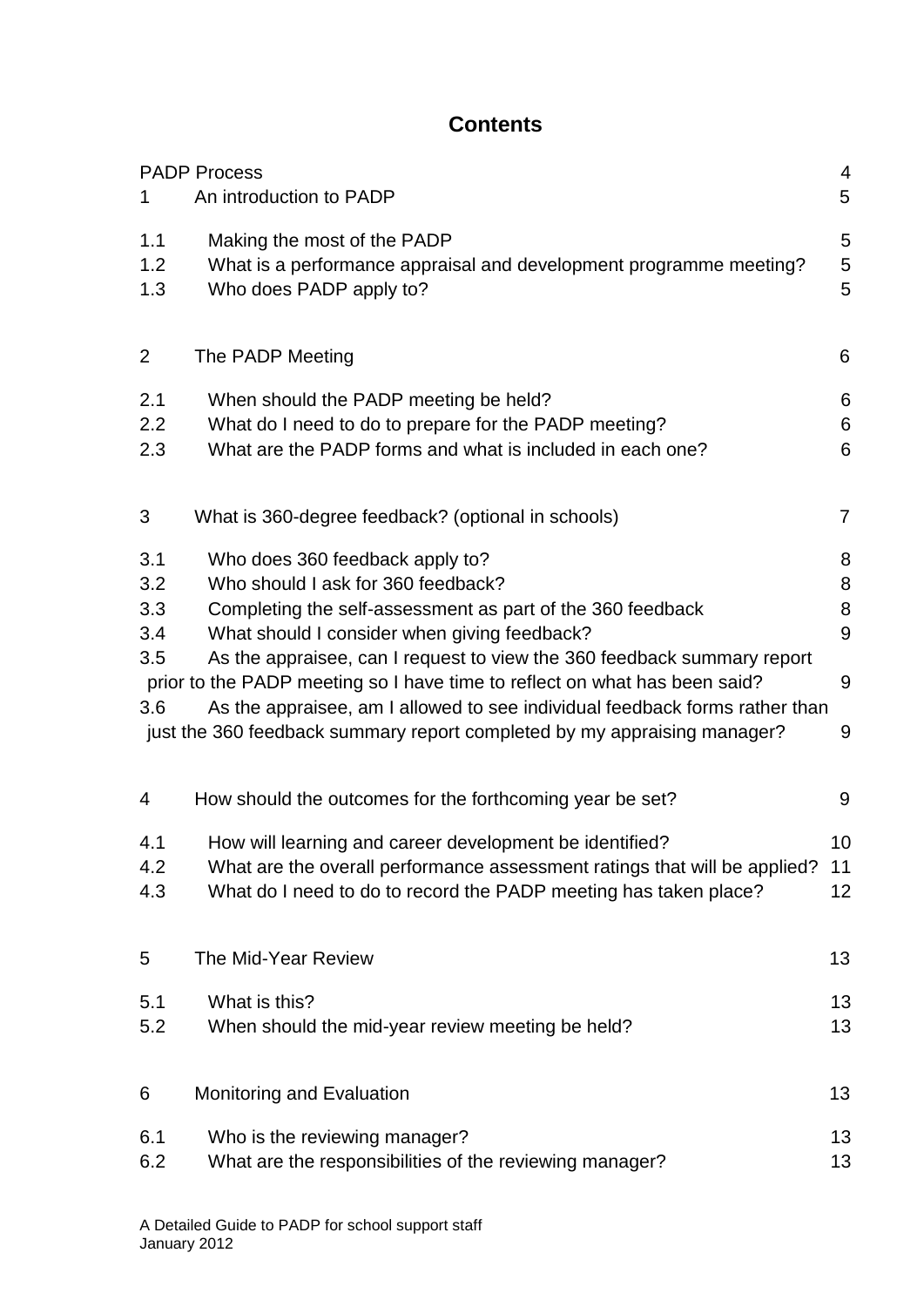### **Contents**

|                                        | <b>PADP Process</b>                                                                                                                                                                                                                                                                                                                                                                                                                                                                                     | 4                          |
|----------------------------------------|---------------------------------------------------------------------------------------------------------------------------------------------------------------------------------------------------------------------------------------------------------------------------------------------------------------------------------------------------------------------------------------------------------------------------------------------------------------------------------------------------------|----------------------------|
| 1                                      | An introduction to PADP                                                                                                                                                                                                                                                                                                                                                                                                                                                                                 | 5                          |
| 1.1<br>1.2<br>1.3                      | Making the most of the PADP<br>What is a performance appraisal and development programme meeting?<br>Who does PADP apply to?                                                                                                                                                                                                                                                                                                                                                                            | 5<br>5<br>5                |
| $\overline{2}$                         | The PADP Meeting                                                                                                                                                                                                                                                                                                                                                                                                                                                                                        | 6                          |
| 2.1<br>2.2<br>2.3                      | When should the PADP meeting be held?<br>What do I need to do to prepare for the PADP meeting?<br>What are the PADP forms and what is included in each one?                                                                                                                                                                                                                                                                                                                                             | 6<br>6<br>6                |
| 3                                      | What is 360-degree feedback? (optional in schools)                                                                                                                                                                                                                                                                                                                                                                                                                                                      | 7                          |
| 3.1<br>3.2<br>3.3<br>3.4<br>3.5<br>3.6 | Who does 360 feedback apply to?<br>Who should I ask for 360 feedback?<br>Completing the self-assessment as part of the 360 feedback<br>What should I consider when giving feedback?<br>As the appraisee, can I request to view the 360 feedback summary report<br>prior to the PADP meeting so I have time to reflect on what has been said?<br>As the appraisee, am I allowed to see individual feedback forms rather than<br>just the 360 feedback summary report completed by my appraising manager? | 8<br>8<br>8<br>9<br>9<br>9 |
| 4                                      | How should the outcomes for the forthcoming year be set?                                                                                                                                                                                                                                                                                                                                                                                                                                                | 9                          |
| 4.1<br>4.2<br>4.3                      | How will learning and career development be identified?<br>What are the overall performance assessment ratings that will be applied?<br>What do I need to do to record the PADP meeting has taken place?                                                                                                                                                                                                                                                                                                | 10<br>11<br>12             |
| 5                                      | The Mid-Year Review                                                                                                                                                                                                                                                                                                                                                                                                                                                                                     | 13                         |
| 5.1<br>5.2                             | What is this?<br>When should the mid-year review meeting be held?                                                                                                                                                                                                                                                                                                                                                                                                                                       | 13<br>13                   |
| 6                                      | Monitoring and Evaluation                                                                                                                                                                                                                                                                                                                                                                                                                                                                               | 13                         |
| 6.1<br>6.2                             | Who is the reviewing manager?<br>What are the responsibilities of the reviewing manager?                                                                                                                                                                                                                                                                                                                                                                                                                | 13<br>13                   |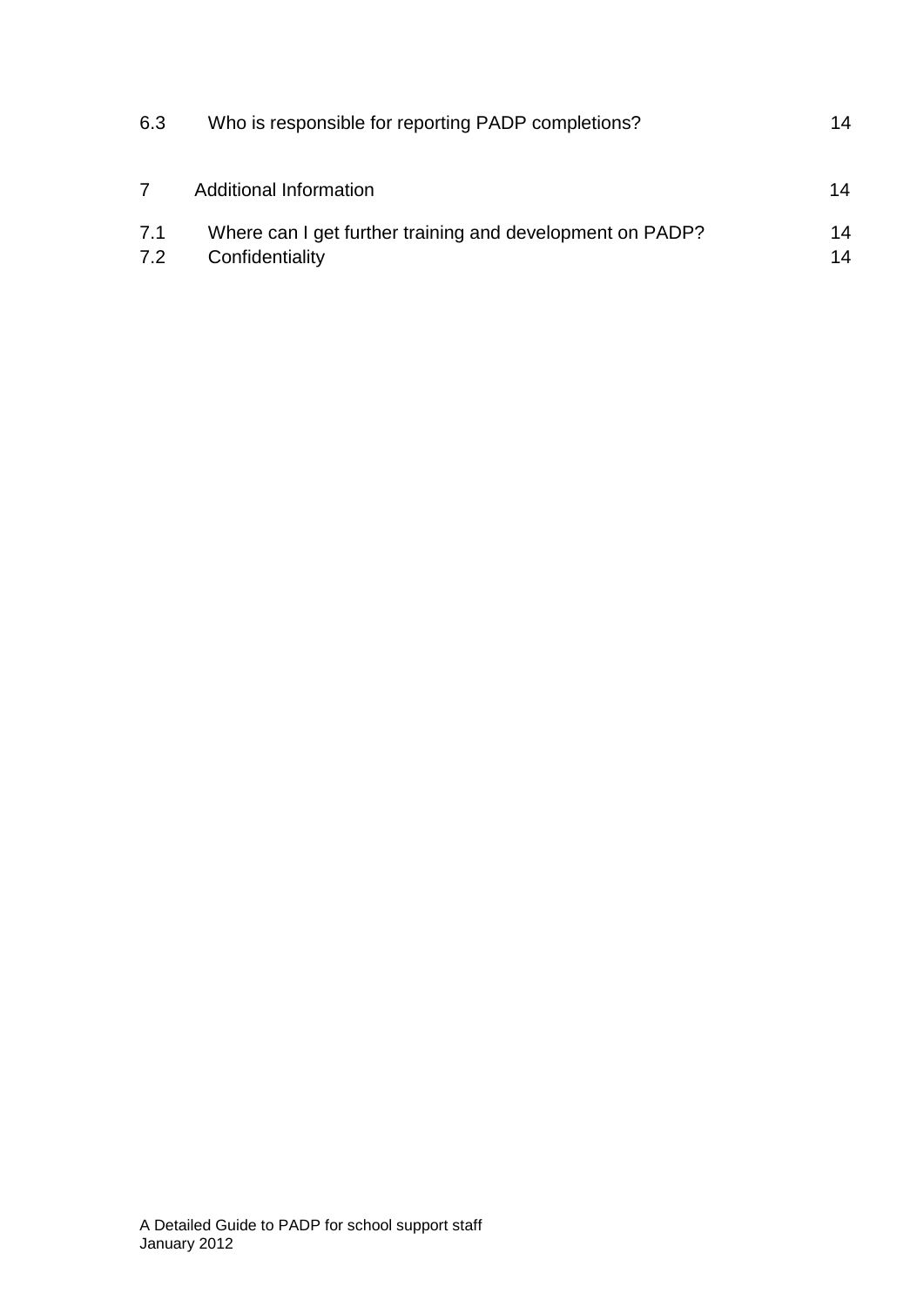| 6.3        | Who is responsible for reporting PADP completions?                           | 14       |
|------------|------------------------------------------------------------------------------|----------|
|            | Additional Information                                                       | 14       |
| 7.1<br>7.2 | Where can I get further training and development on PADP?<br>Confidentiality | 14<br>14 |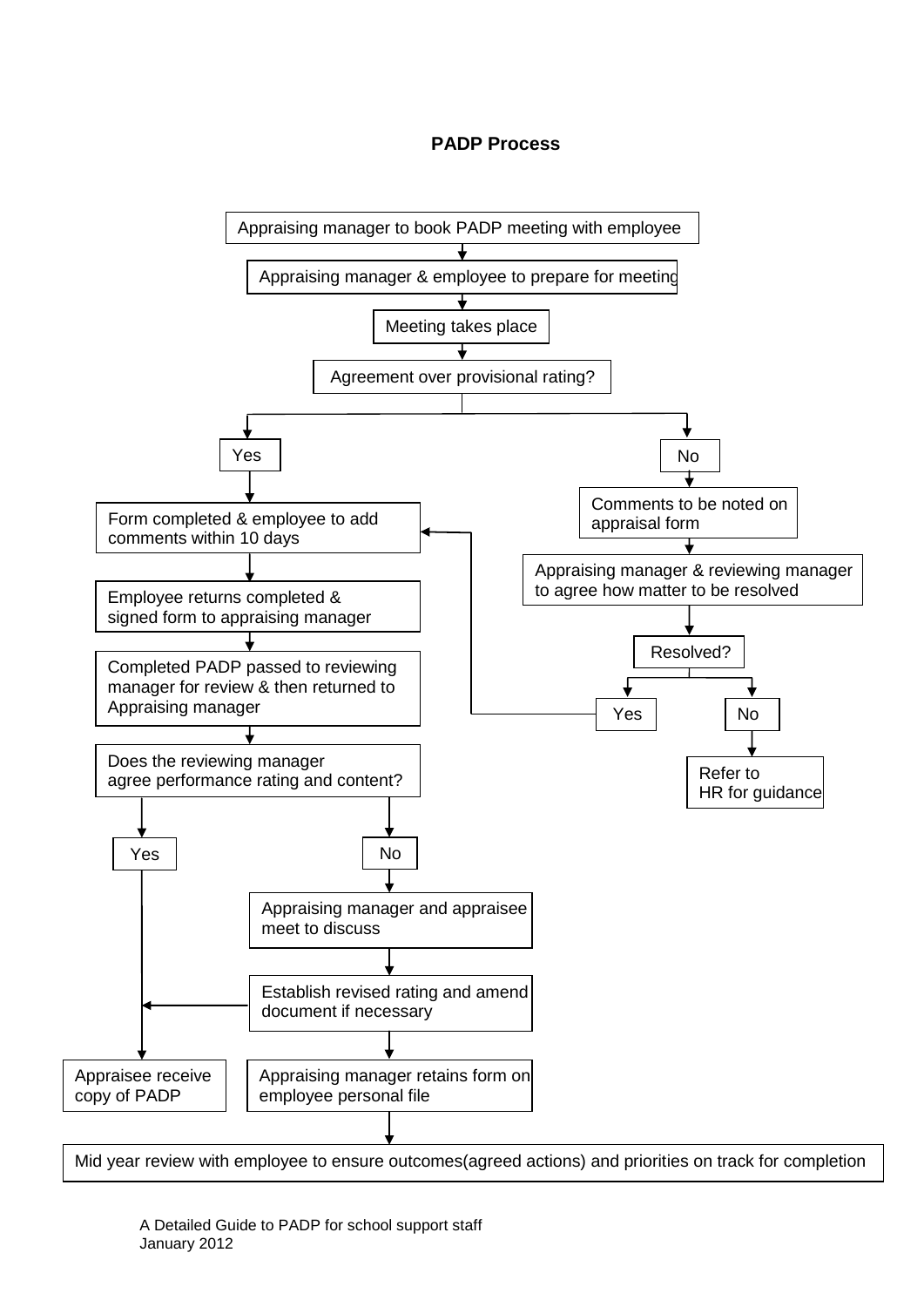#### **PADP Process**

<span id="page-5-0"></span>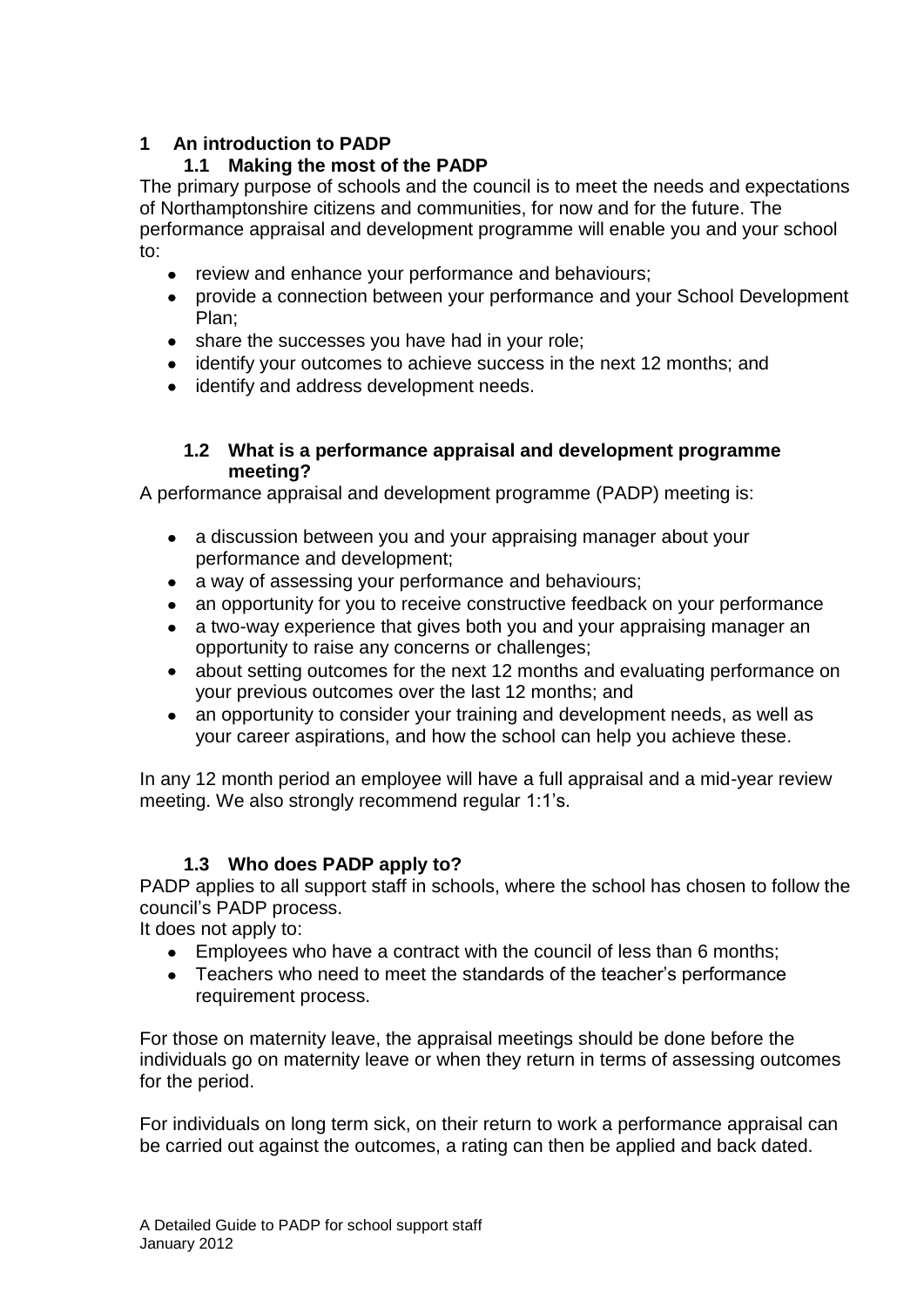#### <span id="page-6-0"></span>**1 An introduction to PADP**

#### **1.1 Making the most of the PADP**

<span id="page-6-1"></span>The primary purpose of schools and the council is to meet the needs and expectations of Northamptonshire citizens and communities, for now and for the future. The performance appraisal and development programme will enable you and your school to:

- review and enhance your performance and behaviours;
- provide a connection between your performance and your School Development Plan;
- share the successes you have had in your role;
- identify your outcomes to achieve success in the next 12 months; and
- identify and address development needs.

#### **1.2 What is a performance appraisal and development programme meeting?**

<span id="page-6-2"></span>A performance appraisal and development programme (PADP) meeting is:

- a discussion between you and your appraising manager about your  $\bullet$ performance and development;
- a way of assessing your performance and behaviours;
- an opportunity for you to receive constructive feedback on your performance  $\bullet$
- a two-way experience that gives both you and your appraising manager an  $\bullet$ opportunity to raise any concerns or challenges;
- about setting outcomes for the next 12 months and evaluating performance on  $\bullet$ your previous outcomes over the last 12 months; and
- an opportunity to consider your training and development needs, as well as  $\bullet$ your career aspirations, and how the school can help you achieve these.

In any 12 month period an employee will have a full appraisal and a mid-year review meeting. We also strongly recommend reqular 1:1's.

#### **1.3 Who does PADP apply to?**

<span id="page-6-3"></span>PADP applies to all support staff in schools, where the school has chosen to follow the council"s PADP process.

It does not apply to:

- Employees who have a contract with the council of less than 6 months;
- Teachers who need to meet the standards of the teacher"s performance requirement process.

For those on maternity leave, the appraisal meetings should be done before the individuals go on maternity leave or when they return in terms of assessing outcomes for the period.

For individuals on long term sick, on their return to work a performance appraisal can be carried out against the outcomes, a rating can then be applied and back dated.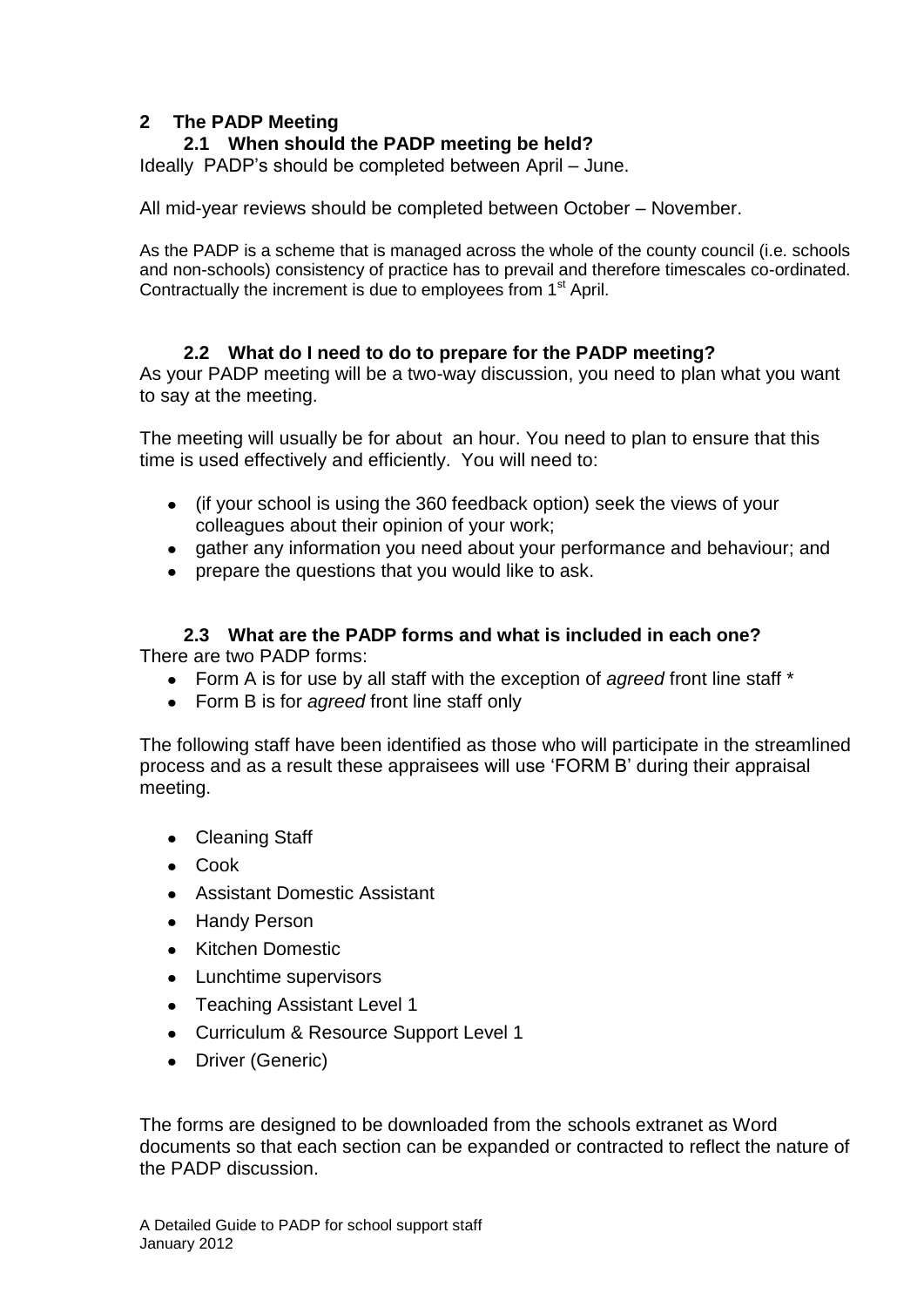#### <span id="page-7-1"></span>**2 The PADP Meeting**

#### <span id="page-7-0"></span>**2.1 When should the PADP meeting be held?**

Ideally PADP"s should be completed between April – June.

All mid-year reviews should be completed between October – November.

As the PADP is a scheme that is managed across the whole of the county council (i.e. schools and non-schools) consistency of practice has to prevail and therefore timescales co-ordinated. Contractually the increment is due to employees from 1<sup>st</sup> April.

#### **2.2 What do I need to do to prepare for the PADP meeting?**

<span id="page-7-2"></span>As your PADP meeting will be a two-way discussion, you need to plan what you want to say at the meeting.

The meeting will usually be for about an hour. You need to plan to ensure that this time is used effectively and efficiently. You will need to:

- (if your school is using the 360 feedback option) seek the views of your colleagues about their opinion of your work;
- gather any information you need about your performance and behaviour; and
- prepare the questions that you would like to ask.

#### **2.3 What are the PADP forms and what is included in each one?**

<span id="page-7-3"></span>There are two PADP forms:

- Form A is for use by all staff with the exception of *agreed* front line staff \*
- Form B is for *agreed* front line staff only

The following staff have been identified as those who will participate in the streamlined process and as a result these appraisees will use "FORM B" during their appraisal meeting.

- Cleaning Staff
- Cook
- Assistant Domestic Assistant
- Handy Person
- Kitchen Domestic
- Lunchtime supervisors
- Teaching Assistant Level 1
- Curriculum & Resource Support Level 1
- Driver (Generic)

The forms are designed to be downloaded from the schools extranet as Word documents so that each section can be expanded or contracted to reflect the nature of the PADP discussion.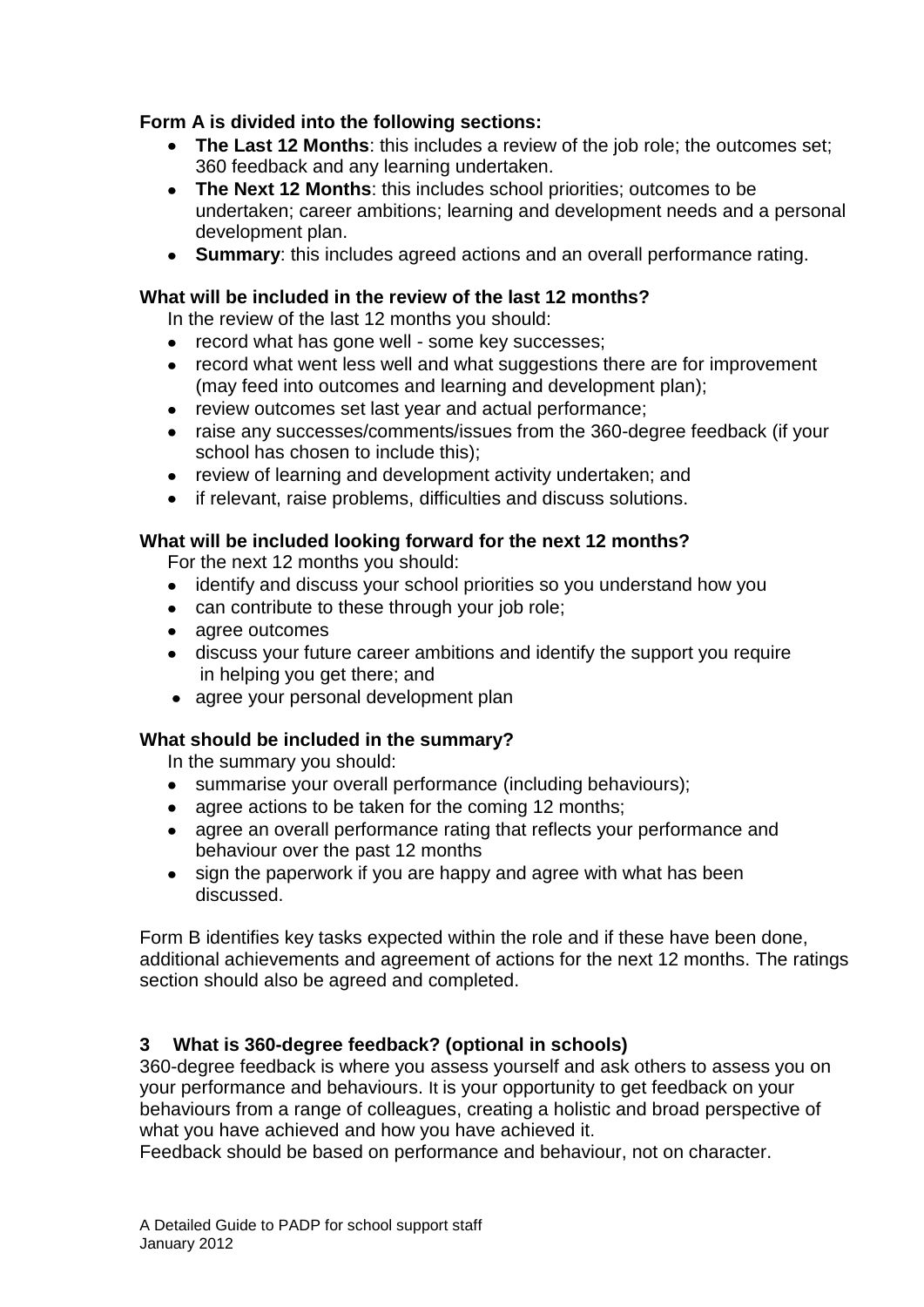#### **Form A is divided into the following sections:**

- **The Last 12 Months**: this includes a review of the job role; the outcomes set; 360 feedback and any learning undertaken.
- **The Next 12 Months**: this includes school priorities; outcomes to be undertaken; career ambitions; learning and development needs and a personal development plan.
- **Summary**: this includes agreed actions and an overall performance rating.

#### **What will be included in the review of the last 12 months?**

In the review of the last 12 months you should:

- record what has gone well some key successes;  $\bullet$
- record what went less well and what suggestions there are for improvement (may feed into outcomes and learning and development plan);
- $\bullet$ review outcomes set last year and actual performance;
- raise any successes/comments/issues from the 360-degree feedback (if your  $\bullet$ school has chosen to include this);
- review of learning and development activity undertaken; and
- if relevant, raise problems, difficulties and discuss solutions.  $\bullet$

#### **What will be included looking forward for the next 12 months?**

For the next 12 months you should:

- identify and discuss your school priorities so you understand how you
- can contribute to these through your job role;
- agree outcomes
- discuss your future career ambitions and identify the support you require in helping you get there; and
- agree your personal development plan

#### **What should be included in the summary?**

In the summary you should:

- summarise your overall performance (including behaviours);
- agree actions to be taken for the coming 12 months;
- agree an overall performance rating that reflects your performance and behaviour over the past 12 months
- sign the paperwork if you are happy and agree with what has been  $\bullet$ discussed.

Form B identifies key tasks expected within the role and if these have been done, additional achievements and agreement of actions for the next 12 months. The ratings section should also be agreed and completed.

#### <span id="page-8-0"></span>**3 What is 360-degree feedback? (optional in schools)**

360-degree feedback is where you assess yourself and ask others to assess you on your performance and behaviours. It is your opportunity to get feedback on your behaviours from a range of colleagues, creating a holistic and broad perspective of what you have achieved and how you have achieved it.

Feedback should be based on performance and behaviour, not on character.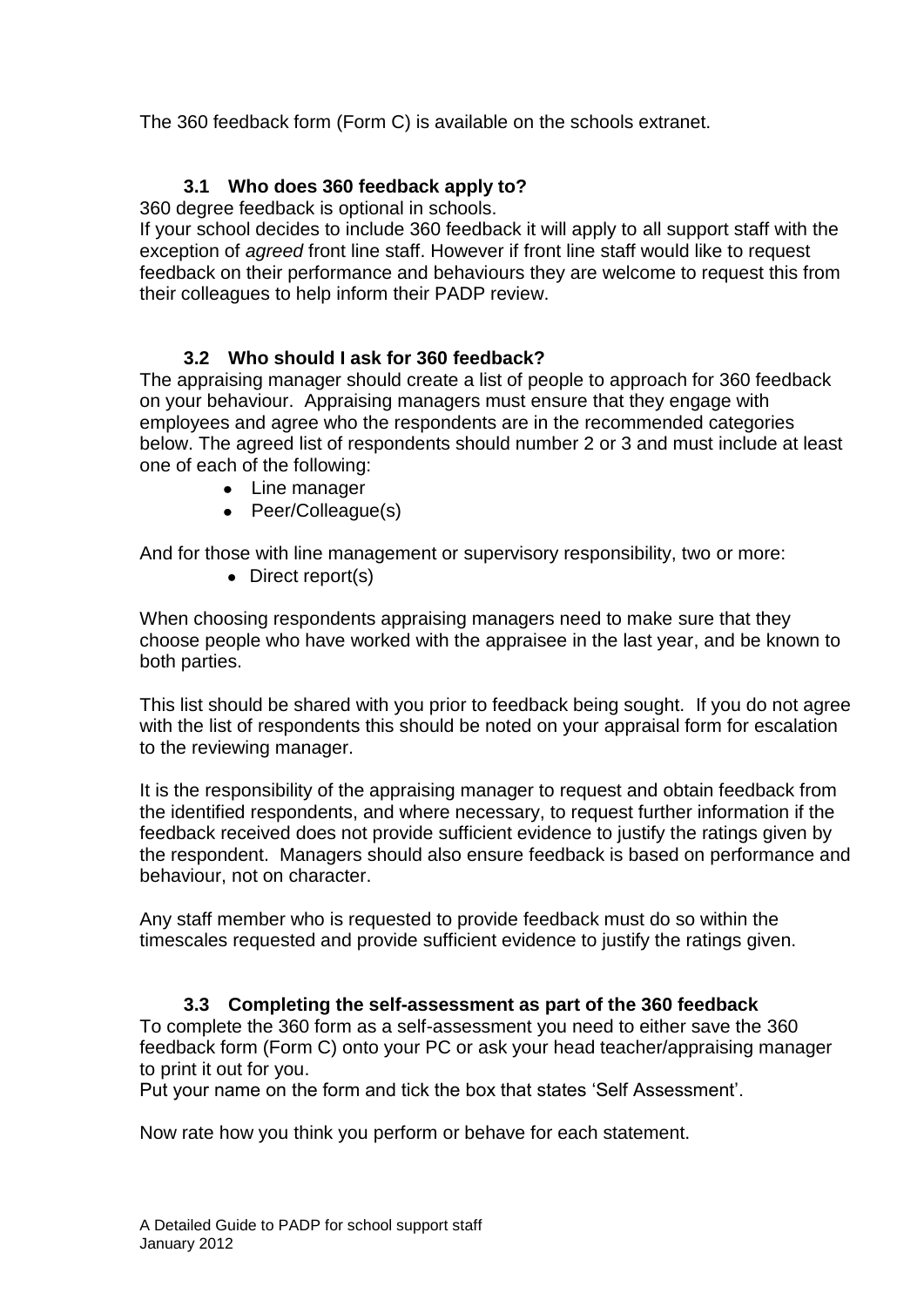The 360 feedback form (Form C) is available on the schools extranet.

#### <span id="page-9-0"></span>**3.1 Who does 360 feedback apply to?**

360 degree feedback is optional in schools.

If your school decides to include 360 feedback it will apply to all support staff with the exception of *agreed* front line staff. However if front line staff would like to request feedback on their performance and behaviours they are welcome to request this from their colleagues to help inform their PADP review.

#### <span id="page-9-1"></span>**3.2 Who should I ask for 360 feedback?**

The appraising manager should create a list of people to approach for 360 feedback on your behaviour. Appraising managers must ensure that they engage with employees and agree who the respondents are in the recommended categories below. The agreed list of respondents should number 2 or 3 and must include at least one of each of the following:

- Line manager
- Peer/Colleague(s)

And for those with line management or supervisory responsibility, two or more:

• Direct report(s)

When choosing respondents appraising managers need to make sure that they choose people who have worked with the appraisee in the last year, and be known to both parties.

This list should be shared with you prior to feedback being sought. If you do not agree with the list of respondents this should be noted on your appraisal form for escalation to the reviewing manager.

It is the responsibility of the appraising manager to request and obtain feedback from the identified respondents, and where necessary, to request further information if the feedback received does not provide sufficient evidence to justify the ratings given by the respondent. Managers should also ensure feedback is based on performance and behaviour, not on character.

Any staff member who is requested to provide feedback must do so within the timescales requested and provide sufficient evidence to justify the ratings given.

#### **3.3 Completing the self-assessment as part of the 360 feedback**

<span id="page-9-2"></span>To complete the 360 form as a self-assessment you need to either save the 360 feedback form (Form C) onto your PC or ask your head teacher/appraising manager to print it out for you.

Put your name on the form and tick the box that states "Self Assessment".

Now rate how you think you perform or behave for each statement.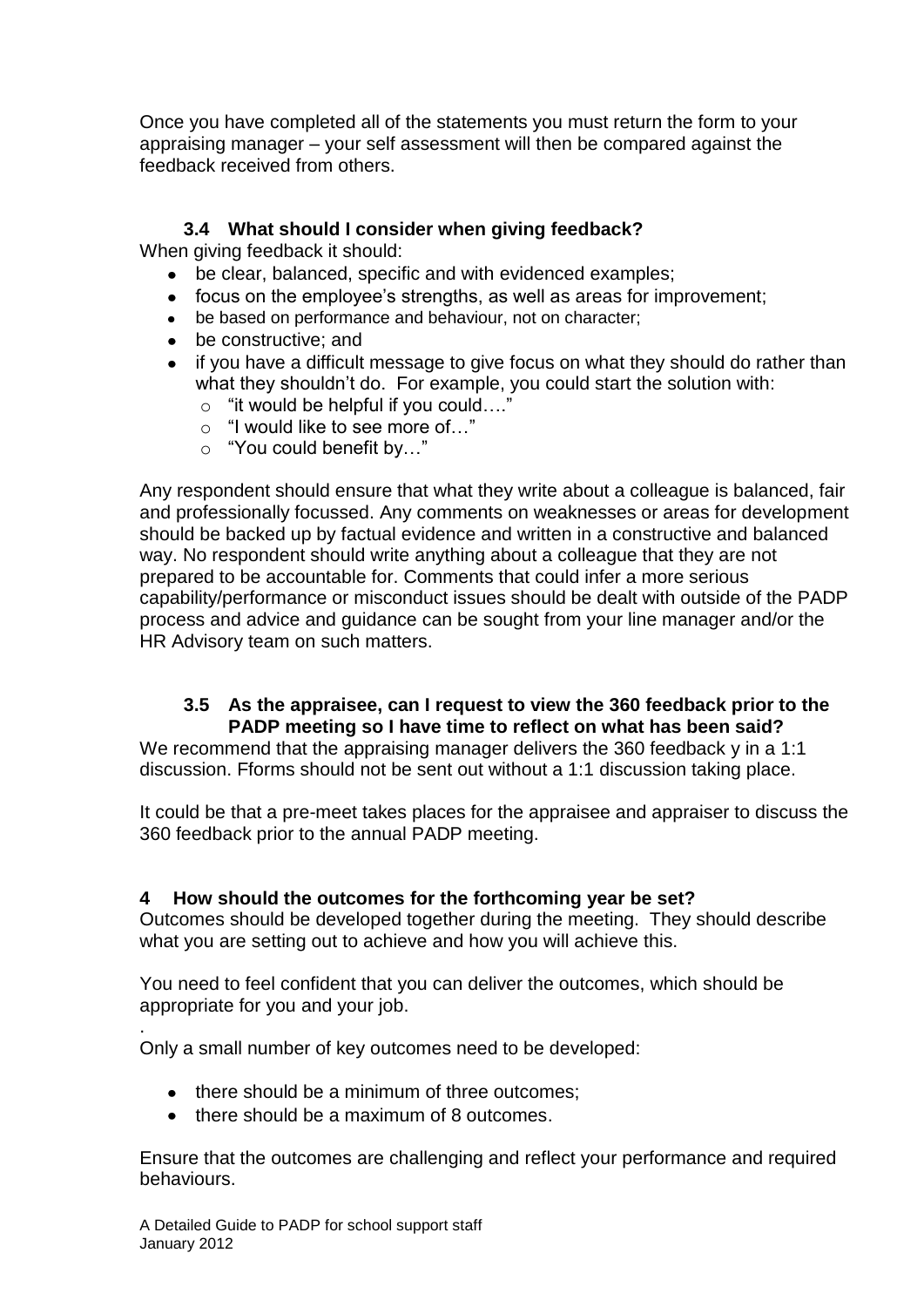<span id="page-10-2"></span>Once you have completed all of the statements you must return the form to your appraising manager – your self assessment will then be compared against the feedback received from others.

#### **3.4 What should I consider when giving feedback?**

<span id="page-10-0"></span>When giving feedback it should:

- be clear, balanced, specific and with evidenced examples;
- focus on the employee's strengths, as well as areas for improvement;
- be based on performance and behaviour, not on character;
- be constructive; and  $\bullet$
- if you have a difficult message to give focus on what they should do rather than  $\bullet$ what they shouldn't do. For example, you could start the solution with:
	- o "it would be helpful if you could…."
	- o "I would like to see more of…"
	- o "You could benefit by…"

Any respondent should ensure that what they write about a colleague is balanced, fair and professionally focussed. Any comments on weaknesses or areas for development should be backed up by factual evidence and written in a constructive and balanced way. No respondent should write anything about a colleague that they are not prepared to be accountable for. Comments that could infer a more serious capability/performance or misconduct issues should be dealt with outside of the PADP process and advice and guidance can be sought from your line manager and/or the HR Advisory team on such matters.

#### **3.5 As the appraisee, can I request to view the 360 feedback prior to the PADP meeting so I have time to reflect on what has been said?**

<span id="page-10-1"></span>We recommend that the appraising manager delivers the 360 feedback y in a 1:1 discussion. Fforms should not be sent out without a 1:1 discussion taking place.

It could be that a pre-meet takes places for the appraisee and appraiser to discuss the 360 feedback prior to the annual PADP meeting.

#### <span id="page-10-3"></span>**4 How should the outcomes for the forthcoming year be set?**

Outcomes should be developed together during the meeting. They should describe what you are setting out to achieve and how you will achieve this.

You need to feel confident that you can deliver the outcomes, which should be appropriate for you and your job.

. Only a small number of key outcomes need to be developed:

- there should be a minimum of three outcomes;
- there should be a maximum of 8 outcomes.

Ensure that the outcomes are challenging and reflect your performance and required behaviours.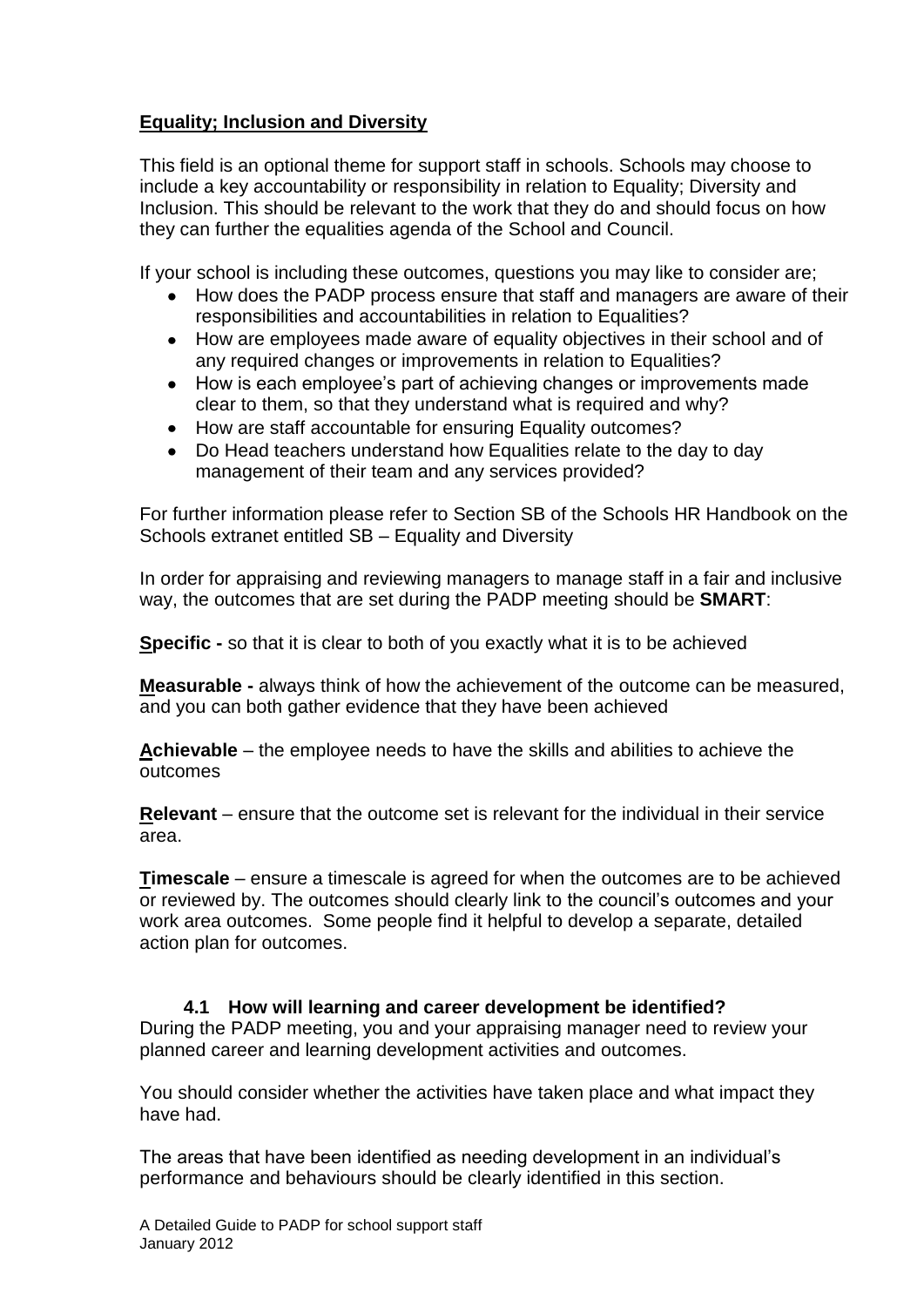#### **Equality; Inclusion and Diversity**

This field is an optional theme for support staff in schools. Schools may choose to include a key accountability or responsibility in relation to Equality; Diversity and Inclusion. This should be relevant to the work that they do and should focus on how they can further the equalities agenda of the School and Council.

If your school is including these outcomes, questions you may like to consider are;

- How does the PADP process ensure that staff and managers are aware of their responsibilities and accountabilities in relation to Equalities?
- How are employees made aware of equality objectives in their school and of any required changes or improvements in relation to Equalities?
- How is each employee"s part of achieving changes or improvements made  $\bullet$ clear to them, so that they understand what is required and why?
- $\bullet$ How are staff accountable for ensuring Equality outcomes?
- $\bullet$ Do Head teachers understand how Equalities relate to the day to day management of their team and any services provided?

For further information please refer to Section SB of the Schools HR Handbook on the Schools extranet entitled SB – Equality and Diversity

In order for appraising and reviewing managers to manage staff in a fair and inclusive way, the outcomes that are set during the PADP meeting should be **SMART**:

**Specific -** so that it is clear to both of you exactly what it is to be achieved

**Measurable -** always think of how the achievement of the outcome can be measured, and you can both gather evidence that they have been achieved

**Achievable** – the employee needs to have the skills and abilities to achieve the outcomes

**Relevant** – ensure that the outcome set is relevant for the individual in their service area.

**Timescale** – ensure a timescale is agreed for when the outcomes are to be achieved or reviewed by. The outcomes should clearly link to the council"s outcomes and your work area outcomes. Some people find it helpful to develop a separate, detailed action plan for outcomes.

#### <span id="page-11-0"></span>**4.1 How will learning and career development be identified?**

During the PADP meeting, you and your appraising manager need to review your planned career and learning development activities and outcomes.

You should consider whether the activities have taken place and what impact they have had.

The areas that have been identified as needing development in an individual"s performance and behaviours should be clearly identified in this section.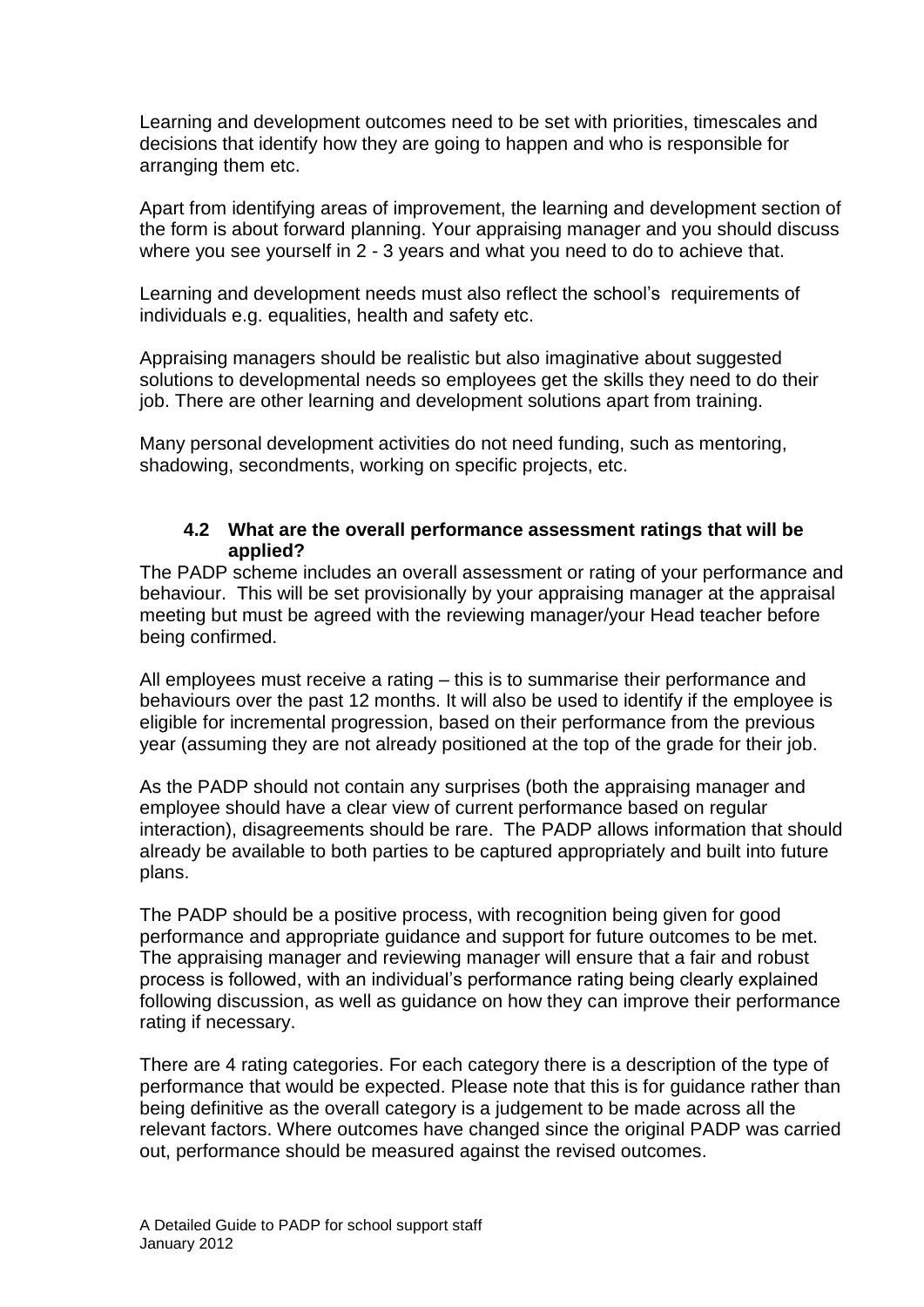Learning and development outcomes need to be set with priorities, timescales and decisions that identify how they are going to happen and who is responsible for arranging them etc.

Apart from identifying areas of improvement, the learning and development section of the form is about forward planning. Your appraising manager and you should discuss where you see yourself in 2 - 3 years and what you need to do to achieve that.

Learning and development needs must also reflect the school"s requirements of individuals e.g. equalities, health and safety etc.

Appraising managers should be realistic but also imaginative about suggested solutions to developmental needs so employees get the skills they need to do their job. There are other learning and development solutions apart from training.

Many personal development activities do not need funding, such as mentoring, shadowing, secondments, working on specific projects, etc.

#### **4.2 What are the overall performance assessment ratings that will be applied?**

<span id="page-12-0"></span>The PADP scheme includes an overall assessment or rating of your performance and behaviour. This will be set provisionally by your appraising manager at the appraisal meeting but must be agreed with the reviewing manager/your Head teacher before being confirmed.

All employees must receive a rating – this is to summarise their performance and behaviours over the past 12 months. It will also be used to identify if the employee is eligible for incremental progression, based on their performance from the previous year (assuming they are not already positioned at the top of the grade for their job.

As the PADP should not contain any surprises (both the appraising manager and employee should have a clear view of current performance based on regular interaction), disagreements should be rare. The PADP allows information that should already be available to both parties to be captured appropriately and built into future plans.

The PADP should be a positive process, with recognition being given for good performance and appropriate guidance and support for future outcomes to be met. The appraising manager and reviewing manager will ensure that a fair and robust process is followed, with an individual"s performance rating being clearly explained following discussion, as well as guidance on how they can improve their performance rating if necessary.

There are 4 rating categories. For each category there is a description of the type of performance that would be expected. Please note that this is for guidance rather than being definitive as the overall category is a judgement to be made across all the relevant factors. Where outcomes have changed since the original PADP was carried out, performance should be measured against the revised outcomes.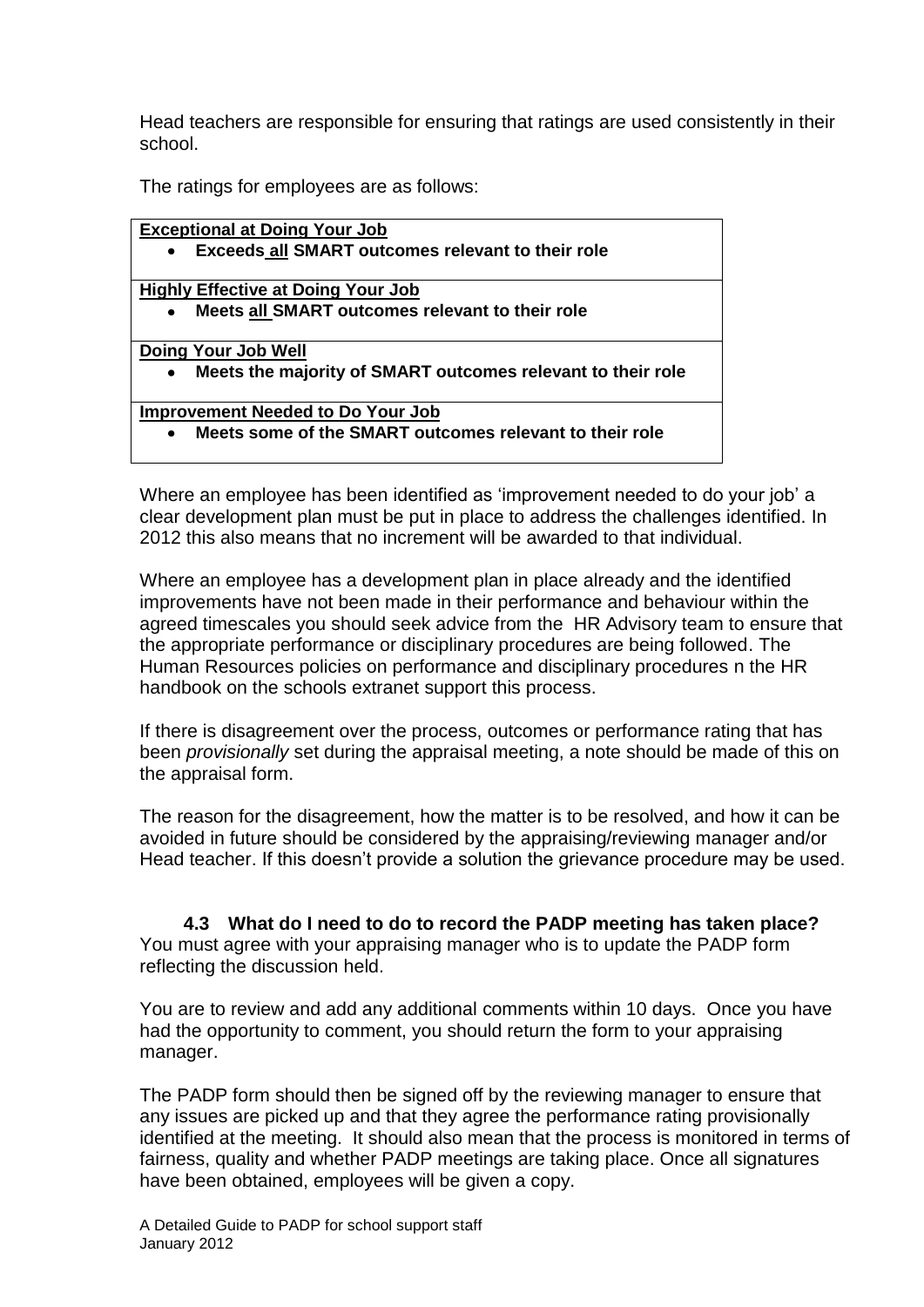Head teachers are responsible for ensuring that ratings are used consistently in their school.

The ratings for employees are as follows:

| <b>Exceptional at Doing Your Job</b>                         |
|--------------------------------------------------------------|
| Exceeds all SMART outcomes relevant to their role            |
| <b>Highly Effective at Doing Your Job</b>                    |
| Meets all SMART outcomes relevant to their role<br>$\bullet$ |
| Doing Your Job Well                                          |
| Meets the majority of SMART outcomes relevant to their role  |
| <b>Improvement Needed to Do Your Job</b>                     |
| Meets some of the SMART outcomes relevant to their role      |

Where an employee has been identified as 'improvement needed to do your job' a clear development plan must be put in place to address the challenges identified. In 2012 this also means that no increment will be awarded to that individual.

Where an employee has a development plan in place already and the identified improvements have not been made in their performance and behaviour within the agreed timescales you should seek advice from the HR Advisory team to ensure that the appropriate performance or disciplinary procedures are being followed. The Human Resources policies on performance and disciplinary procedures n the HR handbook on the schools extranet support this process.

If there is disagreement over the process, outcomes or performance rating that has been *provisionally* set during the appraisal meeting, a note should be made of this on the appraisal form.

The reason for the disagreement, how the matter is to be resolved, and how it can be avoided in future should be considered by the appraising/reviewing manager and/or Head teacher. If this doesn"t provide a solution the grievance procedure may be used.

<span id="page-13-0"></span>**4.3 What do I need to do to record the PADP meeting has taken place?** You must agree with your appraising manager who is to update the PADP form reflecting the discussion held.

You are to review and add any additional comments within 10 days. Once you have had the opportunity to comment, you should return the form to your appraising manager.

The PADP form should then be signed off by the reviewing manager to ensure that any issues are picked up and that they agree the performance rating provisionally identified at the meeting. It should also mean that the process is monitored in terms of fairness, quality and whether PADP meetings are taking place. Once all signatures have been obtained, employees will be given a copy.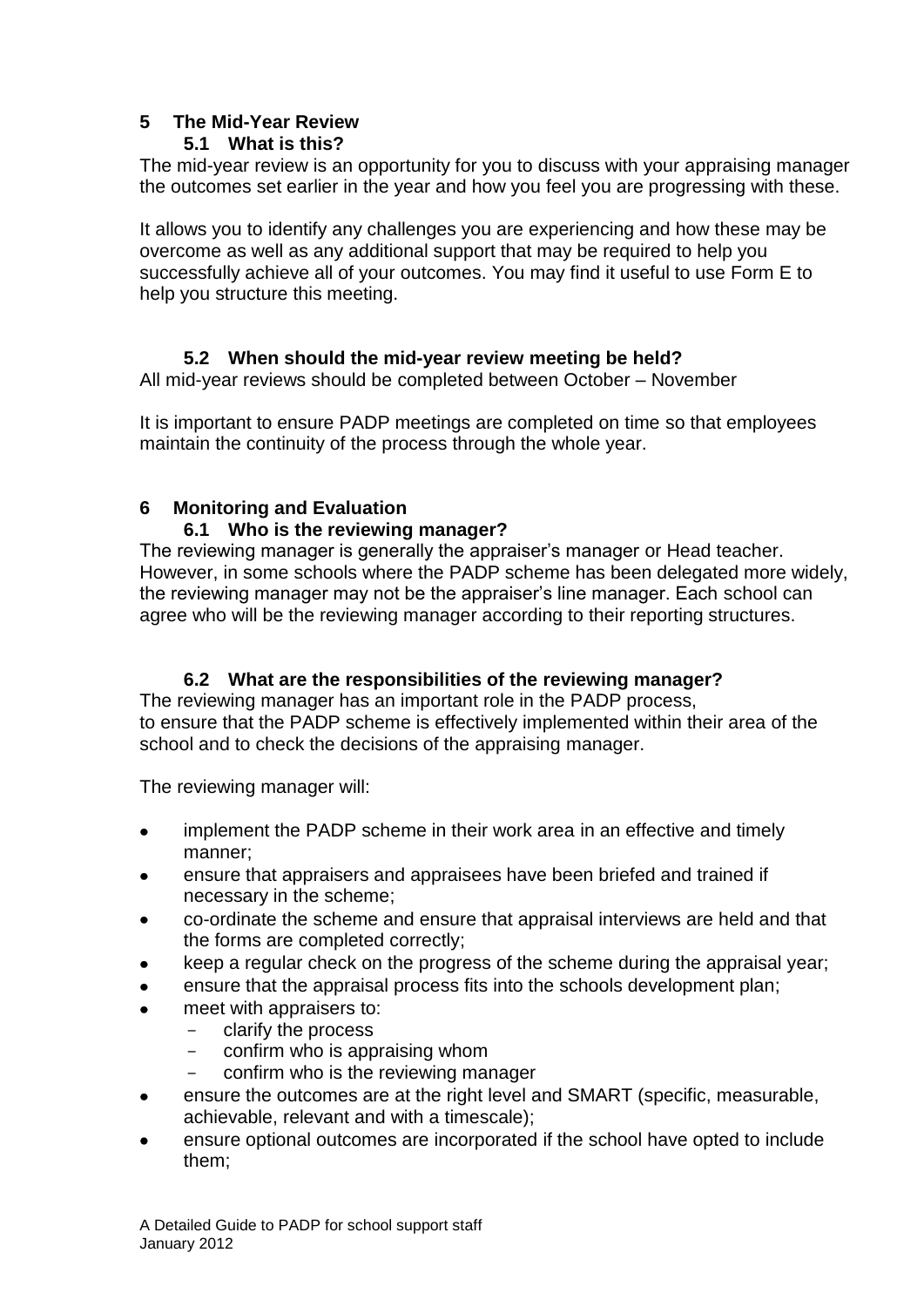### <span id="page-14-1"></span>**5 The Mid-Year Review**

#### <span id="page-14-0"></span>**5.1 What is this?**

The mid-year review is an opportunity for you to discuss with your appraising manager the outcomes set earlier in the year and how you feel you are progressing with these.

It allows you to identify any challenges you are experiencing and how these may be overcome as well as any additional support that may be required to help you successfully achieve all of your outcomes. You may find it useful to use Form E to help you structure this meeting.

#### **5.2 When should the mid-year review meeting be held?**

<span id="page-14-2"></span>All mid-year reviews should be completed between October – November

It is important to ensure PADP meetings are completed on time so that employees maintain the continuity of the process through the whole year.

#### <span id="page-14-3"></span>**6 Monitoring and Evaluation**

#### **6.1 Who is the reviewing manager?**

<span id="page-14-4"></span>The reviewing manager is generally the appraiser's manager or Head teacher. However, in some schools where the PADP scheme has been delegated more widely, the reviewing manager may not be the appraiser"s line manager. Each school can agree who will be the reviewing manager according to their reporting structures.

#### **6.2 What are the responsibilities of the reviewing manager?**

<span id="page-14-5"></span>The reviewing manager has an important role in the PADP process, to ensure that the PADP scheme is effectively implemented within their area of the school and to check the decisions of the appraising manager.

The reviewing manager will:

- implement the PADP scheme in their work area in an effective and timely manner;
- ensure that appraisers and appraisees have been briefed and trained if necessary in the scheme;
- co-ordinate the scheme and ensure that appraisal interviews are held and that the forms are completed correctly;
- keep a regular check on the progress of the scheme during the appraisal year;
- ensure that the appraisal process fits into the schools development plan;
- meet with appraisers to:
	- clarify the process
	- confirm who is appraising whom
	- confirm who is the reviewing manager
- ensure the outcomes are at the right level and SMART (specific, measurable,  $\bullet$ achievable, relevant and with a timescale);
- ensure optional outcomes are incorporated if the school have opted to include them;